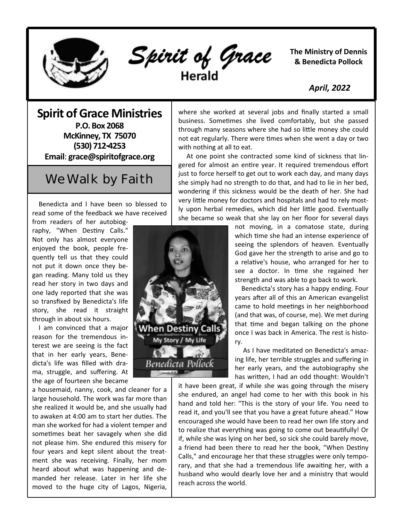

Spirit of Grace

with nothing at all to eat.

**The Ministry of Dennis & Benedicta Pollock**

 *April, 2022*

**Spirit of Grace Ministries P.O. Box 2068 McKinney, TX 75070 (530) 712-4253 Email**: **grace@spiritofgrace.org**

## We Walk by Faith

 Benedicta and I have been so blessed to read some of the feedback we have received

from readers of her autobiography, "When Destiny Calls." Not only has almost everyone enjoyed the book, people frequently tell us that they could not put it down once they began reading. Many told us they read her story in two days and one lady reported that she was so transfixed by Benedicta's life story, she read it straight through in about six hours.

 I am convinced that a major reason for the tremendous interest we are seeing is the fact that in her early years, Benedicta's life was filled with drama, struggle, and suffering. At the age of fourteen she became

a housemaid, nanny, cook, and cleaner for a large household. The work was far more than she realized it would be, and she usually had to awaken at 4:00 am to start her duties. The man she worked for had a violent temper and sometimes beat her savagely when she did not please him. She endured this misery for four years and kept silent about the treatment she was receiving. Finally, her mom heard about what was happening and demanded her release. Later in her life she moved to the huge city of Lagos, Nigeria,

 At one point she contracted some kind of sickness that lingered for almost an entire year. It required tremendous effort just to force herself to get out to work each day, and many days she simply had no strength to do that, and had to lie in her bed, wondering if this sickness would be the death of her. She had very little money for doctors and hospitals and had to rely mostly upon herbal remedies, which did her little good. Eventually she became so weak that she lay on her floor for several days

where she worked at several jobs and finally started a small business. Sometimes she lived comfortably, but she passed through many seasons where she had so little money she could not eat regularly. There were times when she went a day or two

> not moving, in a comatose state, during which time she had an intense experience of seeing the splendors of heaven. Eventually God gave her the strength to arise and go to a relative's house, who arranged for her to see a doctor. In time she regained her strength and was able to go back to work.

> Benedicta's story has a happy ending. Four years after all of this an American evangelist came to hold meetings in her neighborhood (and that was, of course, me). We met during that time and began talking on the phone once I was back in America. The rest is history.

> As I have meditated on Benedicta's amazing life, her terrible struggles and suffering in her early years, and the autobiography she has written, I had an odd thought: Wouldn't

to realize that everything was going to come out beautifully! Or If, while she was fying on her bed, so sick she could barely move, a friend had been there to read her the book, "When Destiny Calls," and encourage her that these struggles were only temporary, and that she had a tremendous life awaiting her, with a  $\overline{L}$ it have been great, if while she was going through the misery she endured, an angel had come to her with this book in his hand and told her: "This is the story of your life. You need to read it, and you'll see that you have a great future ahead." How encouraged she would have been to read her own life story and if, while she was lying on her bed, so sick she could barely move, husband who would dearly love her and a ministry that would reach across the world.